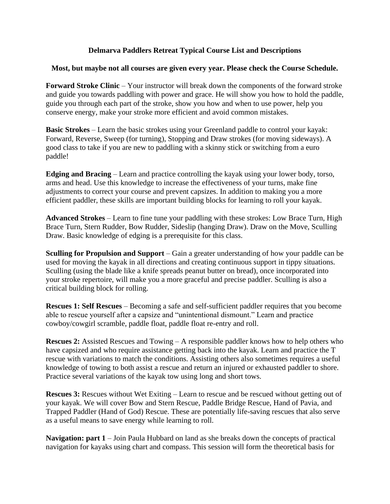## **Delmarva Paddlers Retreat Typical Course List and Descriptions**

## **Most, but maybe not all courses are given every year. Please check the Course Schedule.**

**Forward Stroke Clinic** – Your instructor will break down the components of the forward stroke and guide you towards paddling with power and grace. He will show you how to hold the paddle, guide you through each part of the stroke, show you how and when to use power, help you conserve energy, make your stroke more efficient and avoid common mistakes.

**Basic Strokes** – Learn the basic strokes using your Greenland paddle to control your kayak: Forward, Reverse, Sweep (for turning), Stopping and Draw strokes (for moving sideways). A good class to take if you are new to paddling with a skinny stick or switching from a euro paddle!

**Edging and Bracing** – Learn and practice controlling the kayak using your lower body, torso, arms and head. Use this knowledge to increase the effectiveness of your turns, make fine adjustments to correct your course and prevent capsizes. In addition to making you a more efficient paddler, these skills are important building blocks for learning to roll your kayak.

**Advanced Strokes** – Learn to fine tune your paddling with these strokes: Low Brace Turn, High Brace Turn, Stern Rudder, Bow Rudder, Sideslip (hanging Draw). Draw on the Move, Sculling Draw. Basic knowledge of edging is a prerequisite for this class.

**Sculling for Propulsion and Support** – Gain a greater understanding of how your paddle can be used for moving the kayak in all directions and creating continuous support in tippy situations. Sculling (using the blade like a knife spreads peanut butter on bread), once incorporated into your stroke repertoire, will make you a more graceful and precise paddler. Sculling is also a critical building block for rolling.

**Rescues 1: Self Rescues** – Becoming a safe and self-sufficient paddler requires that you become able to rescue yourself after a capsize and "unintentional dismount." Learn and practice cowboy/cowgirl scramble, paddle float, paddle float re-entry and roll.

**Rescues 2:** Assisted Rescues and Towing – A responsible paddler knows how to help others who have capsized and who require assistance getting back into the kayak. Learn and practice the T rescue with variations to match the conditions. Assisting others also sometimes requires a useful knowledge of towing to both assist a rescue and return an injured or exhausted paddler to shore. Practice several variations of the kayak tow using long and short tows.

**Rescues 3:** Rescues without Wet Exiting – Learn to rescue and be rescued without getting out of your kayak. We will cover Bow and Stern Rescue, Paddle Bridge Rescue, Hand of Pavia, and Trapped Paddler (Hand of God) Rescue. These are potentially life-saving rescues that also serve as a useful means to save energy while learning to roll.

**Navigation: part 1** – Join Paula Hubbard on land as she breaks down the concepts of practical navigation for kayaks using chart and compass. This session will form the theoretical basis for